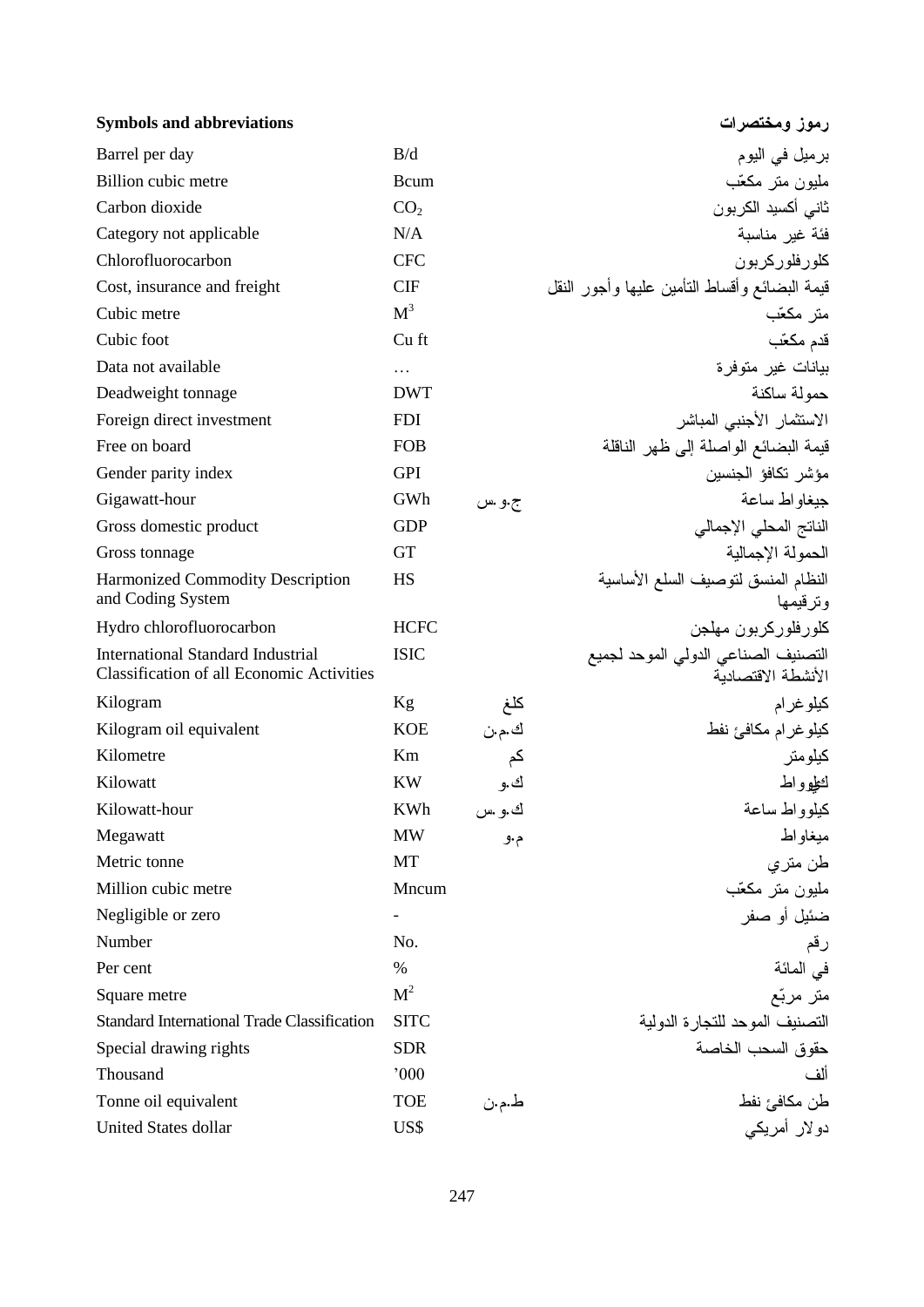| <b>Symbols and abbreviations</b>                                                             |                 |        | رموز ومختصرات                                             |
|----------------------------------------------------------------------------------------------|-----------------|--------|-----------------------------------------------------------|
| Barrel per day                                                                               | B/d             |        | برميل في اليوم                                            |
| Billion cubic metre                                                                          | Bcum            |        | مليون متر مكعّب                                           |
| Carbon dioxide                                                                               | CO <sub>2</sub> |        | ثاني أكسيد الكربون                                        |
| Category not applicable                                                                      | N/A             |        | فئة غير مناسبة                                            |
| Chlorofluorocarbon                                                                           | <b>CFC</b>      |        | كلورفلوركربون                                             |
| Cost, insurance and freight                                                                  | <b>CIF</b>      |        | قيمة البضائع وأقساط النأمين عليها وأجور النقل             |
| Cubic metre                                                                                  | M <sup>3</sup>  |        | متر مكعّب                                                 |
| Cubic foot                                                                                   | Cu ft           |        | قدم مكعّب                                                 |
| Data not available                                                                           | .               |        | بيانات غير متوفرة                                         |
| Deadweight tonnage                                                                           | <b>DWT</b>      |        | حمولة ساكنة                                               |
| Foreign direct investment                                                                    | <b>FDI</b>      |        | الاستثمار الأجنبي المباشر                                 |
| Free on board                                                                                | <b>FOB</b>      |        | قيمة البضائع الواصلة إلى ظهر الناقلة                      |
| Gender parity index                                                                          | <b>GPI</b>      |        | مؤشر تكافؤ الجنسين                                        |
| Gigawatt-hour                                                                                | GWh             | ج.و .س | جبغاو اط ساعة                                             |
| Gross domestic product                                                                       | <b>GDP</b>      |        | الناتج المحلى الإجمالي                                    |
| Gross tonnage                                                                                | <b>GT</b>       |        | الحمولة الإجمالية                                         |
| <b>Harmonized Commodity Description</b><br>and Coding System                                 | HS              |        | النظام المنسق لتوصيف السلع الأساسية<br>وترقيمها           |
| Hydro chlorofluorocarbon                                                                     | <b>HCFC</b>     |        | كلورفلوركربون مهلجن                                       |
| <b>International Standard Industrial</b><br><b>Classification of all Economic Activities</b> | <b>ISIC</b>     |        | التصنيف الصناعي الدولي الموحد لجميع<br>الأنشطة الاقتصادبة |
| Kilogram                                                                                     | Kg              | كلغ    | كيلوغرام                                                  |
| Kilogram oil equivalent                                                                      | <b>KOE</b>      | ك.م.ن  | كيلو غرام مكافئ نفط                                       |
| Kilometre                                                                                    | Km              | کم     | كيلومتر                                                   |
| Kilowatt                                                                                     | <b>KW</b>       | ك.و    | لطوواط                                                    |
| Kilowatt-hour                                                                                | KWh             | ك.و .س | كيلوواط ساعة                                              |
| Megawatt                                                                                     | <b>MW</b>       | م.و    | ميغاواط                                                   |
| Metric tonne                                                                                 | MT              |        | طن متر ي                                                  |
| Million cubic metre                                                                          | Mncum           |        | مليون متر مكعّب                                           |
| Negligible or zero                                                                           |                 |        | ضئيل أو صفر                                               |
| Number                                                                                       | No.             |        | رقم                                                       |
| Per cent                                                                                     | $\%$            |        | في المائة                                                 |
| Square metre                                                                                 | M <sup>2</sup>  |        | متر مربّع                                                 |
| Standard International Trade Classification                                                  | <b>SITC</b>     |        | التصنيف الموحد للتجارة الدولية                            |
| Special drawing rights                                                                       | <b>SDR</b>      |        | حقوق السحب الخاصة                                         |
| Thousand                                                                                     | 000             |        | ألف                                                       |
| Tonne oil equivalent                                                                         | <b>TOE</b>      | ط.م.ن  |                                                           |
| United States dollar                                                                         | US\$            |        | طن مكافئ نفط<br>دولار أمريكي                              |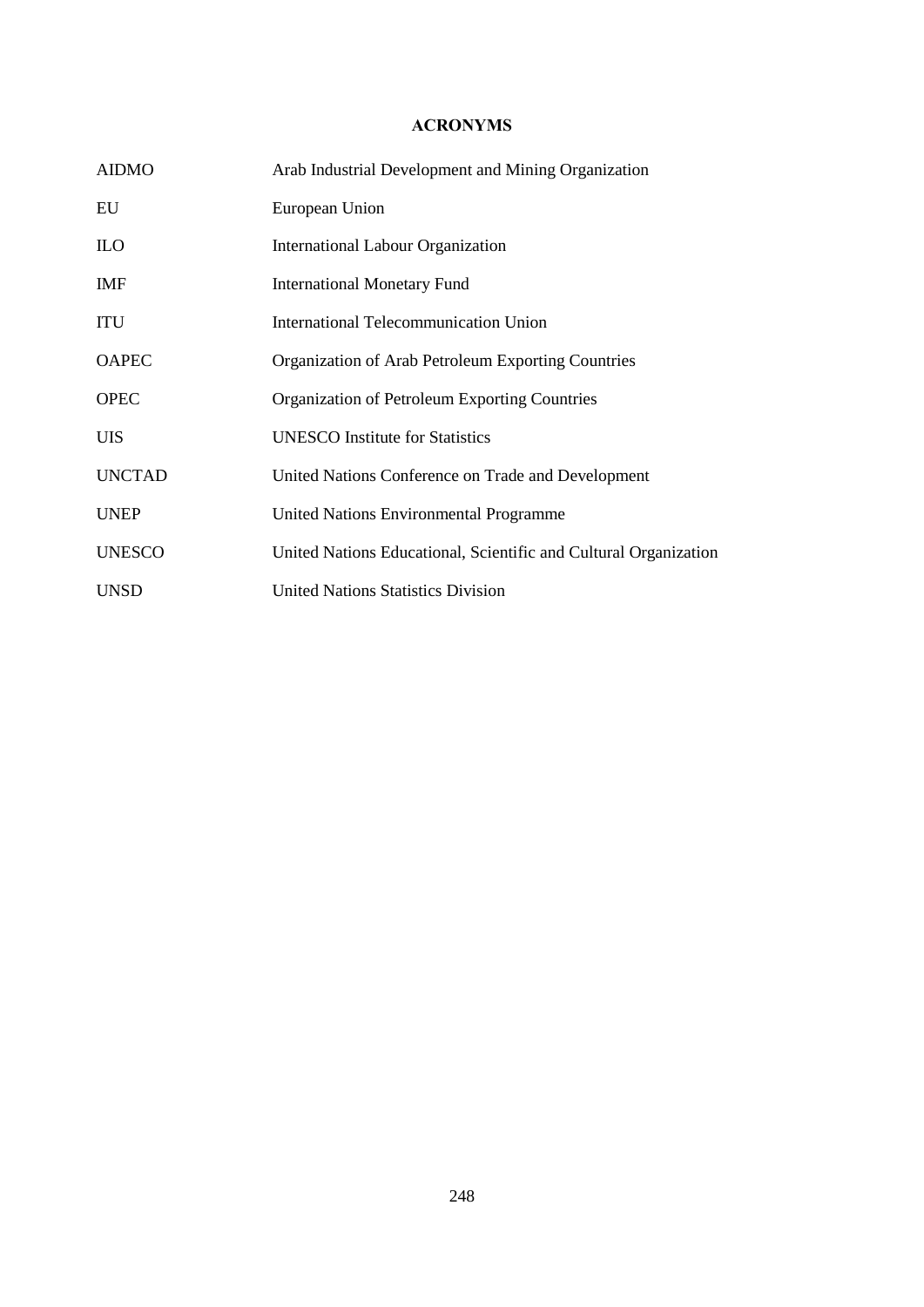## **ACRONYMS**

| <b>AIDMO</b>  | Arab Industrial Development and Mining Organization              |
|---------------|------------------------------------------------------------------|
| EU            | European Union                                                   |
| <b>ILO</b>    | <b>International Labour Organization</b>                         |
| <b>IMF</b>    | <b>International Monetary Fund</b>                               |
| <b>ITU</b>    | International Telecommunication Union                            |
| <b>OAPEC</b>  | Organization of Arab Petroleum Exporting Countries               |
| <b>OPEC</b>   | Organization of Petroleum Exporting Countries                    |
| <b>UIS</b>    | <b>UNESCO</b> Institute for Statistics                           |
| <b>UNCTAD</b> | United Nations Conference on Trade and Development               |
| <b>UNEP</b>   | <b>United Nations Environmental Programme</b>                    |
| <b>UNESCO</b> | United Nations Educational, Scientific and Cultural Organization |
| <b>UNSD</b>   | <b>United Nations Statistics Division</b>                        |